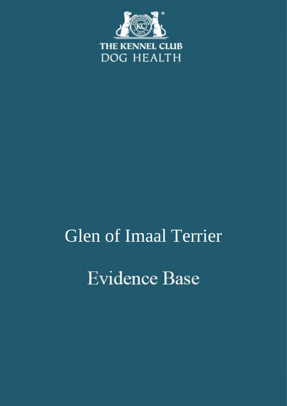

# Glen of Imaal Terrier**Evidence Base**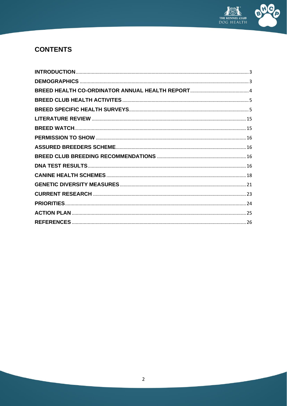

# **CONTENTS**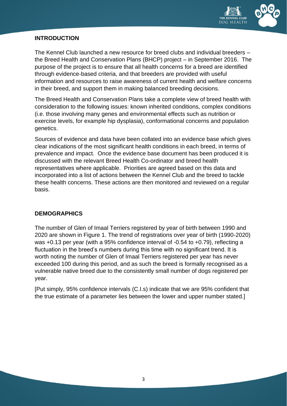

#### <span id="page-2-0"></span>**INTRODUCTION**

The Kennel Club launched a new resource for breed clubs and individual breeders – the Breed Health and Conservation Plans (BHCP) project – in September 2016. The purpose of the project is to ensure that all health concerns for a breed are identified through evidence-based criteria, and that breeders are provided with useful information and resources to raise awareness of current health and welfare concerns in their breed, and support them in making balanced breeding decisions.

The Breed Health and Conservation Plans take a complete view of breed health with consideration to the following issues: known inherited conditions, complex conditions (i.e. those involving many genes and environmental effects such as nutrition or exercise levels, for example hip dysplasia), conformational concerns and population genetics.

Sources of evidence and data have been collated into an evidence base which gives clear indications of the most significant health conditions in each breed, in terms of prevalence and impact. Once the evidence base document has been produced it is discussed with the relevant Breed Health Co-ordinator and breed health representatives where applicable. Priorities are agreed based on this data and incorporated into a list of actions between the Kennel Club and the breed to tackle these health concerns. These actions are then monitored and reviewed on a regular basis.

# <span id="page-2-1"></span>**DEMOGRAPHICS**

The number of Glen of Imaal Terriers registered by year of birth between 1990 and 2020 are shown in Figure 1. The trend of registrations over year of birth (1990-2020) was +0.13 per year (with a 95% confidence interval of -0.54 to +0.79), reflecting a fluctuation in the breed's numbers during this time with no significant trend. It is worth noting the number of Glen of Imaal Terriers registered per year has never exceeded 100 during this period, and as such the breed is formally recognised as a vulnerable native breed due to the consistently small number of dogs registered per year.

[Put simply, 95% confidence intervals (C.I.s) indicate that we are 95% confident that the true estimate of a parameter lies between the lower and upper number stated.]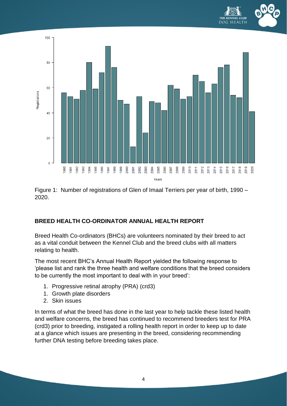



Figure 1: Number of registrations of Glen of Imaal Terriers per year of birth, 1990 – 2020.

# <span id="page-3-0"></span>**BREED HEALTH CO-ORDINATOR ANNUAL HEALTH REPORT**

Breed Health Co-ordinators (BHCs) are volunteers nominated by their breed to act as a vital conduit between the Kennel Club and the breed clubs with all matters relating to health.

The most recent BHC's Annual Health Report yielded the following response to 'please list and rank the three health and welfare conditions that the breed considers to be currently the most important to deal with in your breed':

- 1. Progressive retinal atrophy (PRA) (crd3)
- 1. Growth plate disorders
- 2. Skin issues

In terms of what the breed has done in the last year to help tackle these listed health and welfare concerns, the breed has continued to recommend breeders test for PRA (crd3) prior to breeding, instigated a rolling health report in order to keep up to date at a glance which issues are presenting in the breed, considering recommending further DNA testing before breeding takes place.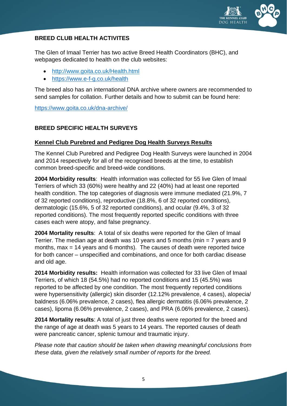

# <span id="page-4-0"></span>**BREED CLUB HEALTH ACTIVITES**

The Glen of Imaal Terrier has two active Breed Health Coordinators (BHC), and webpages dedicated to health on the club websites:

- <http://www.goita.co.uk/Health.html>
- <https://www.e-f-g.co.uk/health>

The breed also has an international DNA archive where owners are recommended to send samples for collation. Further details and how to submit can be found here:

<https://www.goita.co.uk/dna-archive/>

# <span id="page-4-1"></span>**BREED SPECIFIC HEALTH SURVEYS**

#### **Kennel Club Purebred and Pedigree Dog Health Surveys Results**

The Kennel Club Purebred and Pedigree Dog Health Surveys were launched in 2004 and 2014 respectively for all of the recognised breeds at the time, to establish common breed-specific and breed-wide conditions.

**2004 Morbidity results**: Health information was collected for 55 live Glen of Imaal Terriers of which 33 (60%) were healthy and 22 (40%) had at least one reported health condition. The top categories of diagnosis were immune mediated (21.9%, 7 of 32 reported conditions), reproductive (18.8%, 6 of 32 reported conditions), dermatologic (15.6%, 5 of 32 reported conditions), and ocular (9.4%, 3 of 32 reported conditions). The most frequently reported specific conditions with three cases each were atopy, and false pregnancy.

**2004 Mortality results**: A total of six deaths were reported for the Glen of Imaal Terrier. The median age at death was 10 years and 5 months (min = 7 years and 9 months, max = 14 years and 6 months). The causes of death were reported twice for both cancer – unspecified and combinations, and once for both cardiac disease and old age.

**2014 Morbidity results:** Health information was collected for 33 live Glen of Imaal Terriers, of which 18 (54.5%) had no reported conditions and 15 (45.5%) was reported to be affected by one condition. The most frequently reported conditions were hypersensitivity (allergic) skin disorder (12.12% prevalence, 4 cases), alopecia/ baldness (6.06% prevalence, 2 cases), flea allergic dermatitis (6.06% prevalence, 2 cases), lipoma (6.06% prevalence, 2 cases), and PRA (6.06% prevalence, 2 cases).

**2014 Mortality results**: A total of just three deaths were reported for the breed and the range of age at death was 5 years to 14 years. The reported causes of death were pancreatic cancer, splenic tumour and traumatic injury.

*Please note that caution should be taken when drawing meaningful conclusions from these data, given the relatively small number of reports for the breed.*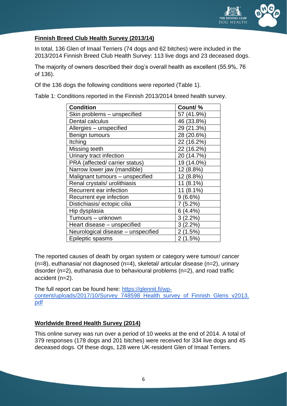

## **Finnish Breed Club Health Survey (2013/14)**

In total, 136 Glen of Imaal Terriers (74 dogs and 62 bitches) were included in the 2013/2014 Finnish Breed Club Health Survey: 113 live dogs and 23 deceased dogs.

The majority of owners described their dog's overall health as excellent (55.9%, 76 of 136).

Of the 136 dogs the following conditions were reported (Table 1).

Table 1: Conditions reported in the Finnish 2013/2014 breed health survey.

| <b>Condition</b>                   | Count/%    |
|------------------------------------|------------|
| Skin problems – unspecified        | 57 (41.9%) |
| Dental calculus                    | 46 (33.8%) |
| Allergies - unspecified            | 29 (21.3%) |
| Benign tumours                     | 28 (20.6%) |
| Itching                            | 22 (16.2%) |
| Missing teeth                      | 22 (16.2%) |
| Urinary tract infection            | 20 (14.7%) |
| PRA (affected/ carrier status)     | 19 (14.0%) |
| Narrow lower jaw (mandible)        | 12 (8.8%)  |
| Malignant tumours - unspecified    | 12 (8.8%)  |
| Renal crystals/ urolithiasis       | 11 (8.1%)  |
| Recurrent ear infection            | 11 (8.1%)  |
| Recurrent eye infection            | 9(6.6%)    |
| Distichiasis/ectopic cilia         | 7 (5.2%)   |
| Hip dysplasia                      | 6(4.4%)    |
| Tumours - unknown                  | 3(2.2%)    |
| Heart disease – unspecified        | $3(2.2\%)$ |
| Neurological disease - unspecified | 2(1.5%)    |
| Epileptic spasms                   | 2(1.5%)    |

The reported causes of death by organ system or category were tumour/ cancer (n=8), euthanasia/ not diagnosed (n=4), skeletal/ articular disease (n=2), urinary disorder (n=2), euthanasia due to behavioural problems (n=2), and road traffic accident (n=2).

The full report can be found here: [https://glennit.fi/wp](https://glennit.fi/wp-content/uploads/2017/10/Survey_748598_Health_survey_of_Finnish_Glens_v2013.pdf)[content/uploads/2017/10/Survey\\_748598\\_Health\\_survey\\_of\\_Finnish\\_Glens\\_v2013.](https://glennit.fi/wp-content/uploads/2017/10/Survey_748598_Health_survey_of_Finnish_Glens_v2013.pdf) [pdf](https://glennit.fi/wp-content/uploads/2017/10/Survey_748598_Health_survey_of_Finnish_Glens_v2013.pdf) 

#### **Worldwide Breed Health Survey (2014)**

This online survey was run over a period of 10 weeks at the end of 2014. A total of 379 responses (178 dogs and 201 bitches) were received for 334 live dogs and 45 deceased dogs. Of these dogs, 128 were UK-resident Glen of Imaal Terriers.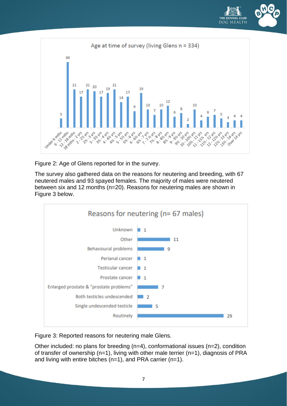



Figure 2: Age of Glens reported for in the survey.

The survey also gathered data on the reasons for neutering and breeding, with 67 neutered males and 93 spayed females. The majority of males were neutered between six and 12 months (n=20). Reasons for neutering males are shown in Figure 3 below.



Figure 3: Reported reasons for neutering male Glens.

Other included: no plans for breeding (n=4), conformational issues (n=2), condition of transfer of ownership (n=1), living with other male terrier (n=1), diagnosis of PRA and living with entire bitches (n=1), and PRA carrier (n=1).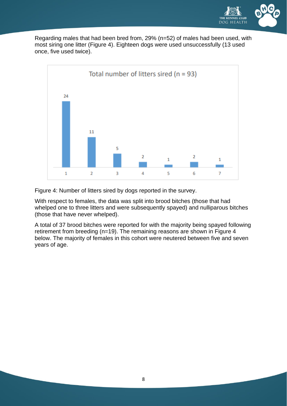

Regarding males that had been bred from, 29% (n=52) of males had been used, with most siring one litter (Figure 4). Eighteen dogs were used unsuccessfully (13 used once, five used twice).



Figure 4: Number of litters sired by dogs reported in the survey.

With respect to females, the data was split into brood bitches (those that had whelped one to three litters and were subsequently spayed) and nulliparous bitches (those that have never whelped).

A total of 37 brood bitches were reported for with the majority being spayed following retirement from breeding (n=19). The remaining reasons are shown in Figure 4 below. The majority of females in this cohort were neutered between five and seven years of age.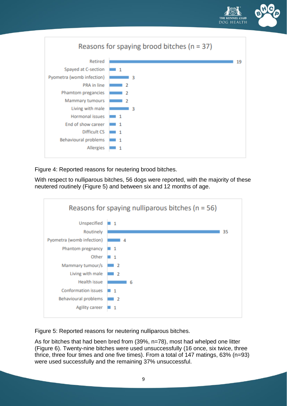



Figure 4: Reported reasons for neutering brood bitches.

With respect to nulliparous bitches, 56 dogs were reported, with the majority of these neutered routinely (Figure 5) and between six and 12 months of age.



Figure 5: Reported reasons for neutering nulliparous bitches.

As for bitches that had been bred from (39%, n=78), most had whelped one litter (Figure 6). Twenty-nine bitches were used unsuccessfully (16 once, six twice, three thrice, three four times and one five times). From a total of 147 matings, 63% (n=93) were used successfully and the remaining 37% unsuccessful.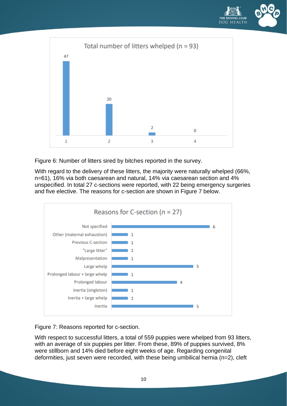



Figure 6: Number of litters sired by bitches reported in the survey.

With regard to the delivery of these litters, the majority were naturally whelped (66%, n=61), 16% via both caesarean and natural, 14% via caesarean section and 4% unspecified. In total 27 c-sections were reported, with 22 being emergency surgeries and five elective. The reasons for c-section are shown in Figure 7 below.



Figure 7: Reasons reported for c-section.

With respect to successful litters, a total of 559 puppies were whelped from 93 litters, with an average of six puppies per litter. From these, 89% of puppies survived, 8% were stillborn and 14% died before eight weeks of age. Regarding congenital deformities, just seven were recorded, with these being umbilical hernia (n=2), cleft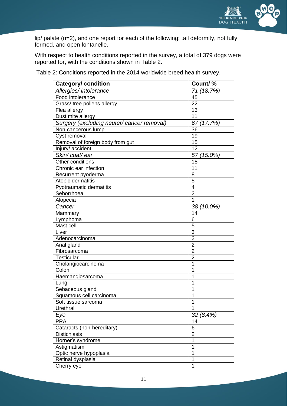

lip/ palate (n=2), and one report for each of the following: tail deformity, not fully formed, and open fontanelle.

With respect to health conditions reported in the survey, a total of 379 dogs were reported for, with the conditions shown in Table 2.

Table 2: Conditions reported in the 2014 worldwide breed health survey.

| <b>Category/ condition</b>                 | Count/%        |
|--------------------------------------------|----------------|
| Allergies/ intolerance                     | 71 (18.7%)     |
| Food intolerance                           | 45             |
| Grass/ tree pollens allergy                | 22             |
| Flea allergy                               | 13             |
| Dust mite allergy                          | 11             |
| Surgery (excluding neuter/ cancer removal) | 67 (17.7%)     |
| Non-cancerous lump                         | 36             |
| Cyst removal                               | 19             |
| Removal of foreign body from gut           | 15             |
| Injury/ accident                           | 12             |
| Skin/coat/ear                              | 57 (15.0%)     |
| Other conditions                           | 18             |
| Chronic ear infection                      | 11             |
| Recurrent pyoderma                         | 8              |
| Atopic dermatitis                          | 5              |
| Pyotraumatic dermatitis                    | 4              |
| Seborrhoea                                 | $\overline{2}$ |
| Alopecia                                   | 1              |
| Cancer                                     | 38 (10.0%)     |
| Mammary                                    | 14             |
| Lymphoma                                   | 6              |
| Mast cell                                  | 5              |
| Liver                                      | $\overline{3}$ |
| Adenocarcinoma                             | $\overline{2}$ |
| Anal gland                                 | $\overline{2}$ |
| Fibrosarcoma                               | $\overline{2}$ |
| <b>Testicular</b>                          | $\overline{2}$ |
| Cholangiocarcinoma                         | 1              |
| Colon                                      | 1              |
| Haemangiosarcoma                           | 1              |
| Lung                                       | 1              |
| Sebaceous gland                            | 1              |
| Squamous cell carcinoma                    | 1              |
| Soft tissue sarcoma                        | 1              |
| Urethral                                   | 1              |
| Eye                                        | 32 (8.4%)      |
| <b>PRA</b>                                 | 14             |
| Cataracts (non-hereditary)                 | 6              |
| <b>Distichiasis</b>                        | $\overline{c}$ |
| Horner's syndrome                          | 1              |
| Astigmatism                                | 1              |
| Optic nerve hypoplasia                     | 1              |
| Retinal dysplasia                          | 1              |
| Cherry eye                                 | 1              |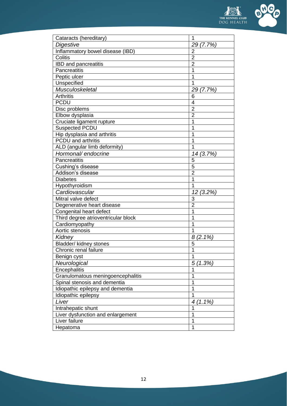

| Cataracts (hereditary)              | 1              |
|-------------------------------------|----------------|
| Digestive                           | 29 (7.7%)      |
| Inflammatory bowel disease (IBD)    | $\overline{2}$ |
| Colitis                             | $\overline{2}$ |
| <b>IBD</b> and pancreatitis         | $\overline{2}$ |
| Pancreatitis                        | 1              |
| Peptic ulcer                        | 1              |
| Unspecified                         | 1              |
| Musculoskeletal                     | 29 (7.7%)      |
| <b>Arthritis</b>                    | 6              |
| <b>PCDU</b>                         | $\overline{4}$ |
| Disc problems                       | $\overline{2}$ |
| Elbow dysplasia                     | $\overline{2}$ |
| Cruciate ligament rupture           | 1              |
| <b>Suspected PCDU</b>               | 1              |
| Hip dysplasia and arthritis         | 1              |
| <b>PCDU</b> and arthritis           | 1              |
| ALD (angular limb deformity)        | 1              |
| Hormonal/ endocrine                 | 14 (3.7%)      |
| <b>Pancreatitis</b>                 | 5              |
| Cushing's disease                   | $\overline{5}$ |
| Addison's disease                   | $\overline{2}$ |
| <b>Diabetes</b>                     | 1              |
| Hypothyroidism                      | 1              |
| Cardiovascular                      | 12 (3.2%)      |
| Mitral valve defect                 | 3              |
| Degenerative heart disease          | $\overline{2}$ |
| Congenital heart defect             | 1              |
| Third degree atrioventricular block | 1              |
| Cardiomyopathy                      | 1              |
| Aortic stenosis                     | 1              |
| Kidney                              | 8<br>$(2.1\%)$ |
| Bladder/ kidney stones              | 5              |
| Chronic renal failure               | 1              |
| Benign cyst                         | 1              |
| Neurological                        | 5<br>(1.3%)    |
| Encephalitis                        | 1              |
| Granulomatous meningoencephalitis   | 1              |
| Spinal stenosis and dementia        | 1              |
| Idiopathic epilepsy and dementia    | 1              |
| Idiopathic epilepsy                 | $\overline{1}$ |
| Liver                               | (1.1%)<br>4    |
| Intrahepatic shunt                  | 1              |
| Liver dysfunction and enlargement   | 1              |
| Liver failure                       | $\overline{1}$ |
| Hepatoma                            | 1              |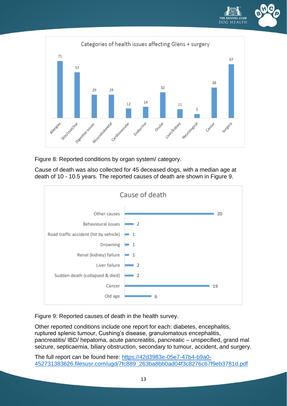



Figure 8: Reported conditions by organ system/ category.

Cause of death was also collected for 45 deceased dogs, with a median age at death of 10 - 10.5 years. The reported causes of death are shown in Figure 9.



Figure 9: Reported causes of death in the health survey.

Other reported conditions include one report for each: diabetes, encephalitis, ruptured splenic tumour, Cushing's disease, granulomatous encephalitis, pancreatitis/ IBD/ hepatoma, acute pancreatitis, pancreatic – unspecified, grand mal seizure, septicaemia, biliary obstruction, secondary to tumour, accident, and surgery.

The full report can be found here: [https://42d3983e-05e7-47b4-b9a0-](https://42d3983e-05e7-47b4-b9a0-452731383626.filesusr.com/ugd/7fc889_263ba8bb0ad04f3c8276c67f9eb3781d.pdf) [452731383626.filesusr.com/ugd/7fc889\\_263ba8bb0ad04f3c8276c67f9eb3781d.pdf](https://42d3983e-05e7-47b4-b9a0-452731383626.filesusr.com/ugd/7fc889_263ba8bb0ad04f3c8276c67f9eb3781d.pdf)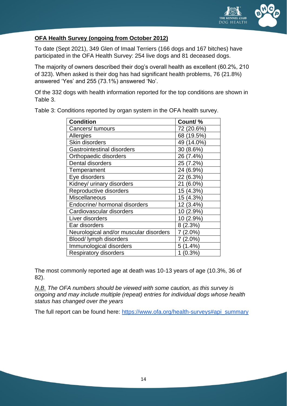

# **OFA Health Survey (ongoing from October 2012)**

To date (Sept 2021), 349 Glen of Imaal Terriers (166 dogs and 167 bitches) have participated in the OFA Health Survey: 254 live dogs and 81 deceased dogs.

The majority of owners described their dog's overall health as excellent (60.2%, 210 of 323). When asked is their dog has had significant health problems, 76 (21.8%) answered 'Yes' and 255 (73.1%) answered 'No'.

Of the 332 dogs with health information reported for the top conditions are shown in Table 3.

| <b>Condition</b>                       | Count/%        |
|----------------------------------------|----------------|
| Cancers/tumours                        | 72 (20.6%)     |
| Allergies                              | 68 (19.5%)     |
| Skin disorders                         | 49 (14.0%)     |
| <b>Gastrointestinal disorders</b>      | 30 (8.6%)      |
| Orthopaedic disorders                  | 26 (7.4%)      |
| Dental disorders                       | 25 (7.2%)      |
| Temperament                            | 24 (6.9%)      |
| Eye disorders                          | 22 (6.3%)      |
| Kidney/ urinary disorders              | 21 (6.0%)      |
| Reproductive disorders                 | 15 (4.3%)      |
| <b>Miscellaneous</b>                   | 15 (4.3%)      |
| Endocrine/ hormonal disorders          | 12 (3.4%)      |
| Cardiovascular disorders               | 10 (2.9%)      |
| Liver disorders                        | 10 (2.9%)      |
| Ear disorders                          | 8(2.3%)        |
| Neurological and/or muscular disorders | $(2.0\%)$<br>7 |
| Blood/ lymph disorders                 | $(2.0\%)$<br>7 |
| Immunological disorders                | $5(1.4\%)$     |
| <b>Respiratory disorders</b>           | (0.3%          |

Table 3: Conditions reported by organ system in the OFA health survey.

The most commonly reported age at death was 10-13 years of age (10.3%, 36 of 82).

*N.B. The OFA numbers should be viewed with some caution, as this survey is ongoing and may include multiple (repeat) entries for individual dogs whose health status has changed over the years*

The full report can be found here: [https://www.ofa.org/health-surveys#api\\_summary](https://www.ofa.org/health-surveys#api_summary)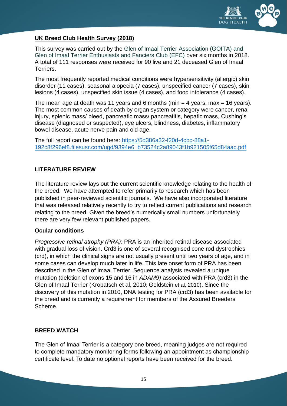

# **UK Breed Club Health Survey (2018)**

This survey was carried out by the Glen of Imaal Terrier Association (GOITA) and Glen of Imaal Terrier Enthusiasts and Fanciers Club (EFC) over six months in 2018. A total of 111 responses were received for 90 live and 21 deceased Glen of Imaal Terriers.

The most frequently reported medical conditions were hypersensitivity (allergic) skin disorder (11 cases), seasonal alopecia (7 cases), unspecified cancer (7 cases), skin lesions (4 cases), unspecified skin issue (4 cases), and food intolerance (4 cases).

The mean age at death was 11 years and 6 months (min  $=$  4 years, max  $=$  16 years). The most common causes of death by organ system or category were cancer, renal injury, splenic mass/ bleed, pancreatic mass/ pancreatitis, hepatic mass, Cushing's disease (diagnosed or suspected), eye ulcers, blindness, diabetes, inflammatory bowel disease, acute nerve pain and old age.

The full report can be found here: [https://5d386a32-f20d-4cbc-88a1-](https://5d386a32-f20d-4cbc-88a1-192c8f296ef8.filesusr.com/ugd/9394e6_b73524c2a89043f1b921505f65d84aac.pdf) [192c8f296ef8.filesusr.com/ugd/9394e6\\_b73524c2a89043f1b921505f65d84aac.pdf](https://5d386a32-f20d-4cbc-88a1-192c8f296ef8.filesusr.com/ugd/9394e6_b73524c2a89043f1b921505f65d84aac.pdf)

#### <span id="page-14-0"></span>**LITERATURE REVIEW**

The literature review lays out the current scientific knowledge relating to the health of the breed. We have attempted to refer primarily to research which has been published in peer-reviewed scientific journals. We have also incorporated literature that was released relatively recently to try to reflect current publications and research relating to the breed. Given the breed's numerically small numbers unfortunately there are very few relevant published papers.

#### **Ocular conditions**

*Progressive retinal atrophy (PRA)*: PRA is an inherited retinal disease associated with gradual loss of vision. Crd3 is one of several recognised cone rod dystrophies (crd), in which the clinical signs are not usually present until two years of age, and in some cases can develop much later in life. This late onset form of PRA has been described in the Glen of Imaal Terrier. Sequence analysis revealed a unique mutation (deletion of exons 15 and 16 in *ADAM9)* associated with PRA (crd3) in the Glen of Imaal Terrier (Kropatsch et al, 2010; Goldstein et al, 2010). Since the discovery of this mutation in 2010, DNA testing for PRA (crd3) has been available for the breed and is currently a requirement for members of the Assured Breeders Scheme.

#### <span id="page-14-1"></span>**BREED WATCH**

The Glen of Imaal Terrier is a category one breed, meaning judges are not required to complete mandatory monitoring forms following an appointment as championship certificate level. To date no optional reports have been received for the breed.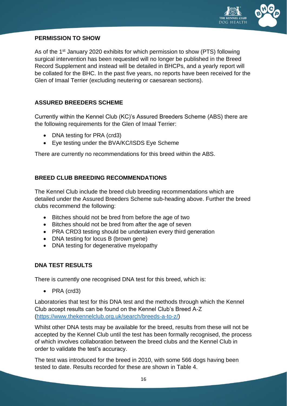

#### <span id="page-15-0"></span>**PERMISSION TO SHOW**

As of the 1<sup>st</sup> January 2020 exhibits for which permission to show (PTS) following surgical intervention has been requested will no longer be published in the Breed Record Supplement and instead will be detailed in BHCPs, and a yearly report will be collated for the BHC. In the past five years, no reports have been received for the Glen of Imaal Terrier (excluding neutering or caesarean sections).

# <span id="page-15-1"></span>**ASSURED BREEDERS SCHEME**

Currently within the Kennel Club (KC)'s Assured Breeders Scheme (ABS) there are the following requirements for the Glen of Imaal Terrier:

- DNA testing for PRA (crd3)
- Eye testing under the BVA/KC/ISDS Eye Scheme

There are currently no recommendations for this breed within the ABS.

# <span id="page-15-2"></span>**BREED CLUB BREEDING RECOMMENDATIONS**

The Kennel Club include the breed club breeding recommendations which are detailed under the Assured Breeders Scheme sub-heading above. Further the breed clubs recommend the following:

- Bitches should not be bred from before the age of two
- Bitches should not be bred from after the age of seven
- PRA CRD3 testing should be undertaken every third generation
- DNA testing for locus B (brown gene)
- DNA testing for degenerative myelopathy

# <span id="page-15-3"></span>**DNA TEST RESULTS**

There is currently one recognised DNA test for this breed, which is:

• PRA (crd3)

Laboratories that test for this DNA test and the methods through which the Kennel Club accept results can be found on the Kennel Club's Breed A-Z [\(https://www.thekennelclub.org.uk/search/breeds-a-to-z/\)](https://www.thekennelclub.org.uk/search/breeds-a-to-z/)

Whilst other DNA tests may be available for the breed, results from these will not be accepted by the Kennel Club until the test has been formally recognised, the process of which involves collaboration between the breed clubs and the Kennel Club in order to validate the test's accuracy.

The test was introduced for the breed in 2010, with some 566 dogs having been tested to date. Results recorded for these are shown in Table 4.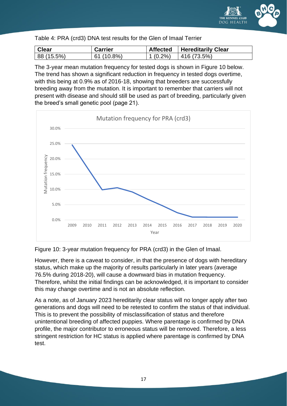

#### Table 4: PRA (crd3) DNA test results for the Glen of Imaal Terrier

| Clear      | <b>Carrier</b> | $\vert$ Affected $\vert$ Hereditarily Clear |
|------------|----------------|---------------------------------------------|
| 88 (15.5%) | 61(10.8%)      | $\vert 1 \, (0.2\%) \vert 416 \, (73.5\%)$  |

The 3-year mean mutation frequency for tested dogs is shown in Figure 10 below. The trend has shown a significant reduction in frequency in tested dogs overtime, with this being at 0.9% as of 2016-18, showing that breeders are successfully breeding away from the mutation. It is important to remember that carriers will not present with disease and should still be used as part of breeding, particularly given the breed's small genetic pool (page 21).



Figure 10: 3-year mutation frequency for PRA (crd3) in the Glen of Imaal.

However, there is a caveat to consider, in that the presence of dogs with hereditary status, which make up the majority of results particularly in later years (average 76.5% during 2018-20), will cause a downward bias in mutation frequency. Therefore, whilst the initial findings can be acknowledged, it is important to consider this may change overtime and is not an absolute reflection.

As a note, as of January 2023 hereditarily clear status will no longer apply after two generations and dogs will need to be retested to confirm the status of that individual. This is to prevent the possibility of misclassification of status and therefore unintentional breeding of affected puppies. Where parentage is confirmed by DNA profile, the major contributor to erroneous status will be removed. Therefore, a less stringent restriction for HC status is applied where parentage is confirmed by DNA test.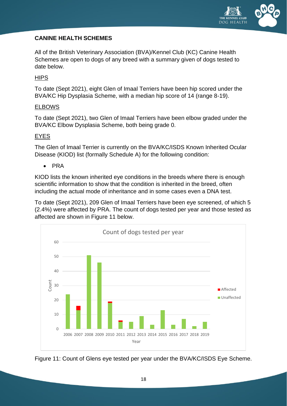

# <span id="page-17-0"></span>**CANINE HEALTH SCHEMES**

All of the British Veterinary Association (BVA)/Kennel Club (KC) Canine Health Schemes are open to dogs of any breed with a summary given of dogs tested to date below.

#### **HIPS**

To date (Sept 2021), eight Glen of Imaal Terriers have been hip scored under the BVA/KC Hip Dysplasia Scheme, with a median hip score of 14 (range 8-19).

#### ELBOWS

To date (Sept 2021), two Glen of Imaal Terriers have been elbow graded under the BVA/KC Elbow Dysplasia Scheme, both being grade 0.

#### EYES

The Glen of Imaal Terrier is currently on the BVA/KC/ISDS Known Inherited Ocular Disease (KIOD) list (formally Schedule A) for the following condition:

• PRA

KIOD lists the known inherited eye conditions in the breeds where there is enough scientific information to show that the condition is inherited in the breed, often including the actual mode of inheritance and in some cases even a DNA test.

To date (Sept 2021), 209 Glen of Imaal Terriers have been eye screened, of which 5 (2.4%) were affected by PRA. The count of dogs tested per year and those tested as affected are shown in Figure 11 below.



Figure 11: Count of Glens eye tested per year under the BVA/KC/ISDS Eye Scheme.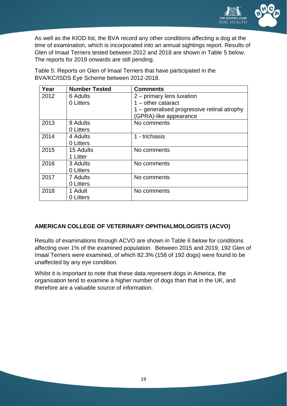

As well as the KIOD list, the BVA record any other conditions affecting a dog at the time of examination, which is incorporated into an annual sightings report. Results of Glen of Imaal Terriers tested between 2012 and 2018 are shown in Table 5 below. The reports for 2019 onwards are still pending.

| Year | <b>Number Tested</b> | <b>Comments</b>                             |
|------|----------------------|---------------------------------------------|
| 2012 | 6 Adults             | 2 – primary lens luxation                   |
|      | 0 Litters            | $1 -$ other cataract                        |
|      |                      | 1 – generalised progressive retinal atrophy |
|      |                      | (GPRA)-like appearance                      |
| 2013 | 9 Adults             | No comments                                 |
|      | 0 Litters            |                                             |
| 2014 | 4 Adults             | 1 - trichiasis                              |
|      | 0 Litters            |                                             |
| 2015 | 15 Adults            | No comments                                 |
|      | 1 Litter             |                                             |
| 2016 | 3 Adults             | No comments                                 |
|      | 0 Litters            |                                             |
| 2017 | 7 Adults             | No comments                                 |
|      | 0 Litters            |                                             |
| 2018 | 1 Adult              | No comments                                 |
|      | 0 Litters            |                                             |

Table 5: Reports on Glen of Imaal Terriers that have participated in the BVA/KC/ISDS Eye Scheme between 2012-2018.

# **AMERICAN COLLEGE OF VETERINARY OPHTHALMOLOGISTS (ACVO)**

Results of examinations through ACVO are shown in Table 6 below for conditions affecting over 1% of the examined population. Between 2015 and 2019, 192 Glen of Imaal Terriers were examined, of which 82.3% (158 of 192 dogs) were found to be unaffected by any eye condition.

Whilst it is important to note that these data represent dogs in America, the organisation tend to examine a higher number of dogs than that in the UK, and therefore are a valuable source of information.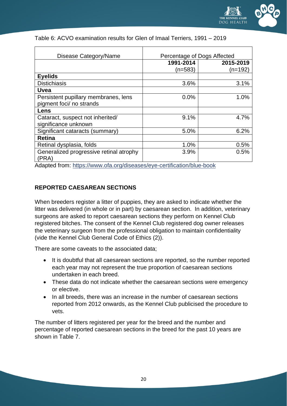

| Disease Category/Name                            | Percentage of Dogs Affected |           |
|--------------------------------------------------|-----------------------------|-----------|
|                                                  | 1991-2014                   | 2015-2019 |
|                                                  | $(n=583)$                   | (n=192)   |
| <b>Eyelids</b>                                   |                             |           |
| <b>Distichiasis</b>                              | 3.6%                        | 3.1%      |
| <b>Uvea</b>                                      |                             |           |
| Persistent pupillary membranes, lens             | 0.0%                        | 1.0%      |
| pigment foci/ no strands                         |                             |           |
| Lens                                             |                             |           |
| Cataract, suspect not inherited/                 | 9.1%                        | 4.7%      |
| significance unknown                             |                             |           |
| Significant cataracts (summary)                  | 5.0%                        | 6.2%      |
| <b>Retina</b>                                    |                             |           |
| Retinal dysplasia, folds                         | 1.0%                        | 0.5%      |
| Generalized progressive retinal atrophy<br>(PRA) | 3.9%                        | 0.5%      |

#### Table 6: ACVO examination results for Glen of Imaal Terriers, 1991 – 2019

Adapted from:<https://www.ofa.org/diseases/eye-certification/blue-book>

# **REPORTED CAESAREAN SECTIONS**

When breeders register a litter of puppies, they are asked to indicate whether the litter was delivered (in whole or in part) by caesarean section. In addition, veterinary surgeons are asked to report caesarean sections they perform on Kennel Club registered bitches. The consent of the Kennel Club registered dog owner releases the veterinary surgeon from the professional obligation to maintain confidentiality (vide the Kennel Club General Code of Ethics (2)).

There are some caveats to the associated data;

- It is doubtful that all caesarean sections are reported, so the number reported each year may not represent the true proportion of caesarean sections undertaken in each breed.
- These data do not indicate whether the caesarean sections were emergency or elective.
- In all breeds, there was an increase in the number of caesarean sections reported from 2012 onwards, as the Kennel Club publicised the procedure to vets.

The number of litters registered per year for the breed and the number and percentage of reported caesarean sections in the breed for the past 10 years are shown in Table 7.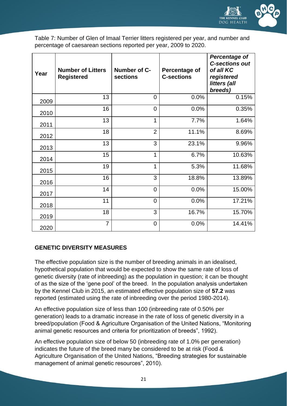

Table 7: Number of Glen of Imaal Terrier litters registered per year, and number and percentage of caesarean sections reported per year, 2009 to 2020.

| Year | <b>Number of Litters</b><br><b>Registered</b> | Number of C-<br>sections | Percentage of<br><b>C-sections</b> | <b>Percentage of</b><br><b>C-sections out</b><br>of all KC<br>registered<br>litters (all<br>breeds) |
|------|-----------------------------------------------|--------------------------|------------------------------------|-----------------------------------------------------------------------------------------------------|
| 2009 | 13                                            | $\overline{0}$           | 0.0%                               | 0.15%                                                                                               |
| 2010 | 16                                            | $\overline{0}$           | 0.0%                               | 0.35%                                                                                               |
| 2011 | 13                                            | 1                        | 7.7%                               | 1.64%                                                                                               |
| 2012 | 18                                            | $\overline{2}$           | 11.1%                              | 8.69%                                                                                               |
| 2013 | 13                                            | 3                        | 23.1%                              | 9.96%                                                                                               |
| 2014 | 15                                            | 1                        | 6.7%                               | 10.63%                                                                                              |
| 2015 | 19                                            | $\mathbf{1}$             | 5.3%                               | 11.68%                                                                                              |
| 2016 | 16                                            | 3                        | 18.8%                              | 13.89%                                                                                              |
| 2017 | 14                                            | $\overline{0}$           | 0.0%                               | 15.00%                                                                                              |
| 2018 | 11                                            | $\overline{0}$           | 0.0%                               | 17.21%                                                                                              |
| 2019 | 18                                            | 3                        | 16.7%                              | 15.70%                                                                                              |
| 2020 | $\overline{7}$                                | $\overline{0}$           | 0.0%                               | 14.41%                                                                                              |

# <span id="page-20-0"></span>**GENETIC DIVERSITY MEASURES**

The effective population size is the number of breeding animals in an idealised, hypothetical population that would be expected to show the same rate of loss of genetic diversity (rate of inbreeding) as the population in question; it can be thought of as the size of the 'gene pool' of the breed. In the population analysis undertaken by the Kennel Club in 2015, an estimated effective population size of **57.2** was reported (estimated using the rate of inbreeding over the period 1980-2014).

An effective population size of less than 100 (inbreeding rate of 0.50% per generation) leads to a dramatic increase in the rate of loss of genetic diversity in a breed/population (Food & Agriculture Organisation of the United Nations, "Monitoring animal genetic resources and criteria for prioritization of breeds", 1992).

An effective population size of below 50 (inbreeding rate of 1.0% per generation) indicates the future of the breed many be considered to be at risk (Food & Agriculture Organisation of the United Nations, "Breeding strategies for sustainable management of animal genetic resources", 2010).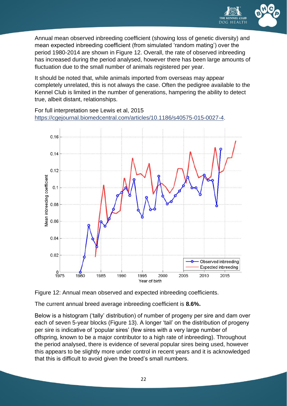

Annual mean observed inbreeding coefficient (showing loss of genetic diversity) and mean expected inbreeding coefficient (from simulated 'random mating') over the period 1980-2014 are shown in Figure 12. Overall, the rate of observed inbreeding has increased during the period analysed, however there has been large amounts of fluctuation due to the small number of animals registered per year.

It should be noted that, while animals imported from overseas may appear completely unrelated, this is not always the case. Often the pedigree available to the Kennel Club is limited in the number of generations, hampering the ability to detect true, albeit distant, relationships.

For full interpretation see Lewis et al, 2015 [https://cgejournal.biomedcentral.com/articles/10.1186/s40575-015-0027-4.](https://cgejournal.biomedcentral.com/articles/10.1186/s40575-015-0027-4)





The current annual breed average inbreeding coefficient is **8.6%.**

Below is a histogram ('tally' distribution) of number of progeny per sire and dam over each of seven 5-year blocks (Figure 13). A longer 'tail' on the distribution of progeny per sire is indicative of 'popular sires' (few sires with a very large number of offspring, known to be a major contributor to a high rate of inbreeding). Throughout the period analysed, there is evidence of several popular sires being used, however this appears to be slightly more under control in recent years and it is acknowledged that this is difficult to avoid given the breed's small numbers.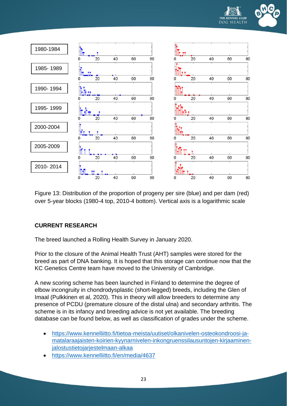



Figure 13: Distribution of the proportion of progeny per sire (blue) and per dam (red) over 5-year blocks (1980-4 top, 2010-4 bottom). Vertical axis is a logarithmic scale

# <span id="page-22-0"></span>**CURRENT RESEARCH**

The breed launched a Rolling Health Survey in January 2020.

Prior to the closure of the Animal Health Trust (AHT) samples were stored for the breed as part of DNA banking. It is hoped that this storage can continue now that the KC Genetics Centre team have moved to the University of Cambridge.

A new scoring scheme has been launched in Finland to determine the degree of elbow incongruity in chondrodysplastic (short-legged) breeds, including the Glen of Imaal (Pulkkinen et al, 2020). This in theory will allow breeders to determine any presence of PCDU (premature closure of the distal ulna) and secondary arthritis. The scheme is in its infancy and breeding advice is not yet available. The breeding database can be found below, as well as classification of grades under the scheme.

- [https://www.kennelliitto.fi/tietoa-meista/uutiset/olkanivelen-osteokondroosi-ja](https://www.kennelliitto.fi/tietoa-meista/uutiset/olkanivelen-osteokondroosi-ja-matalaraajaisten-koirien-kyynarnivelen-inkongruenssilausuntojen-kirjaaminen-jalostustietojarjestelmaan-alkaa)[matalaraajaisten-koirien-kyynarnivelen-inkongruenssilausuntojen-kirjaaminen](https://www.kennelliitto.fi/tietoa-meista/uutiset/olkanivelen-osteokondroosi-ja-matalaraajaisten-koirien-kyynarnivelen-inkongruenssilausuntojen-kirjaaminen-jalostustietojarjestelmaan-alkaa)[jalostustietojarjestelmaan-alkaa](https://www.kennelliitto.fi/tietoa-meista/uutiset/olkanivelen-osteokondroosi-ja-matalaraajaisten-koirien-kyynarnivelen-inkongruenssilausuntojen-kirjaaminen-jalostustietojarjestelmaan-alkaa)
- <https://www.kennelliitto.fi/en/media/4637>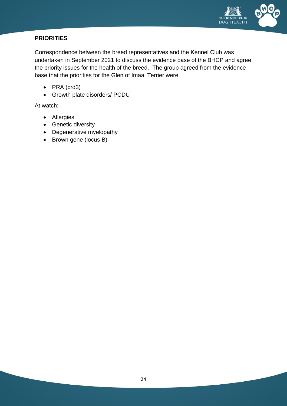

# <span id="page-23-0"></span>**PRIORITIES**

Correspondence between the breed representatives and the Kennel Club was undertaken in September 2021 to discuss the evidence base of the BHCP and agree the priority issues for the health of the breed. The group agreed from the evidence base that the priorities for the Glen of Imaal Terrier were:

- PRA (crd3)
- Growth plate disorders/ PCDU

At watch:

- Allergies
- Genetic diversity
- Degenerative myelopathy
- Brown gene (locus B)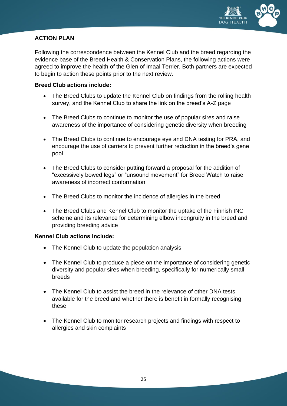

# <span id="page-24-0"></span>**ACTION PLAN**

Following the correspondence between the Kennel Club and the breed regarding the evidence base of the Breed Health & Conservation Plans, the following actions were agreed to improve the health of the Glen of Imaal Terrier. Both partners are expected to begin to action these points prior to the next review.

#### **Breed Club actions include:**

- The Breed Clubs to update the Kennel Club on findings from the rolling health survey, and the Kennel Club to share the link on the breed's A-Z page
- The Breed Clubs to continue to monitor the use of popular sires and raise awareness of the importance of considering genetic diversity when breeding
- The Breed Clubs to continue to encourage eye and DNA testing for PRA, and encourage the use of carriers to prevent further reduction in the breed's gene pool
- The Breed Clubs to consider putting forward a proposal for the addition of "excessively bowed legs" or "unsound movement" for Breed Watch to raise awareness of incorrect conformation
- The Breed Clubs to monitor the incidence of allergies in the breed
- The Breed Clubs and Kennel Club to monitor the uptake of the Finnish INC scheme and its relevance for determining elbow incongruity in the breed and providing breeding advice

# **Kennel Club actions include:**

- The Kennel Club to update the population analysis
- The Kennel Club to produce a piece on the importance of considering genetic diversity and popular sires when breeding, specifically for numerically small breeds
- The Kennel Club to assist the breed in the relevance of other DNA tests available for the breed and whether there is benefit in formally recognising these
- The Kennel Club to monitor research projects and findings with respect to allergies and skin complaints